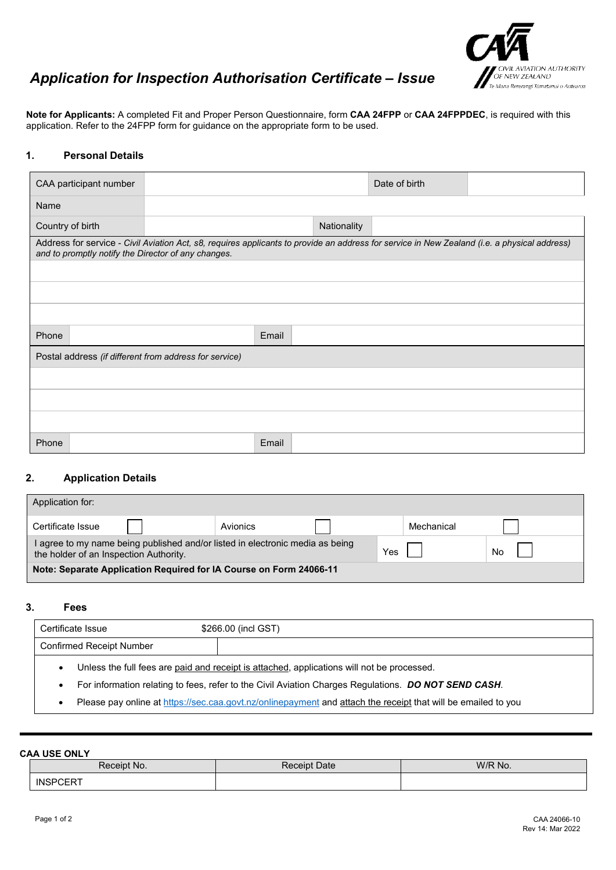

# *Application for Inspection Authorisation Certificate – Issue*

**Note for Applicants:** A completed Fit and Proper Person Questionnaire, form **CAA 24FPP** or **CAA 24FPPDEC**, is required with this application. Refer to the 24FPP form for guidance on the appropriate form to be used.

#### **1. Personal Details**

| CAA participant number                                 |                                                                                                                                                                                                     |       |             | Date of birth |  |
|--------------------------------------------------------|-----------------------------------------------------------------------------------------------------------------------------------------------------------------------------------------------------|-------|-------------|---------------|--|
| Name                                                   |                                                                                                                                                                                                     |       |             |               |  |
| Country of birth                                       |                                                                                                                                                                                                     |       | Nationality |               |  |
|                                                        | Address for service - Civil Aviation Act, s8, requires applicants to provide an address for service in New Zealand (i.e. a physical address)<br>and to promptly notify the Director of any changes. |       |             |               |  |
|                                                        |                                                                                                                                                                                                     |       |             |               |  |
|                                                        |                                                                                                                                                                                                     |       |             |               |  |
|                                                        |                                                                                                                                                                                                     |       |             |               |  |
| Phone                                                  |                                                                                                                                                                                                     | Email |             |               |  |
| Postal address (if different from address for service) |                                                                                                                                                                                                     |       |             |               |  |
|                                                        |                                                                                                                                                                                                     |       |             |               |  |
|                                                        |                                                                                                                                                                                                     |       |             |               |  |
|                                                        |                                                                                                                                                                                                     |       |             |               |  |
| Phone                                                  |                                                                                                                                                                                                     | Email |             |               |  |

#### **2. Application Details**

| Application for:                                                                                                        |          |            |  |  |
|-------------------------------------------------------------------------------------------------------------------------|----------|------------|--|--|
| Certificate Issue                                                                                                       | Avionics | Mechanical |  |  |
| I agree to my name being published and/or listed in electronic media as being<br>the holder of an Inspection Authority. | Yes      | No         |  |  |
| Note: Separate Application Required for IA Course on Form 24066-11                                                      |          |            |  |  |

### **3. Fees**

| Certificate Issue                                                                                                 | \$266.00 (incl GST) |  |  |  |
|-------------------------------------------------------------------------------------------------------------------|---------------------|--|--|--|
| <b>Confirmed Receipt Number</b>                                                                                   |                     |  |  |  |
| Unless the full fees are paid and receipt is attached, applications will not be processed.<br>٠                   |                     |  |  |  |
| For information relating to fees, refer to the Civil Aviation Charges Regulations. DO NOT SEND CASH.<br>$\bullet$ |                     |  |  |  |
| -                                                                                                                 |                     |  |  |  |

Please pay online at<https://sec.caa.govt.nz/onlinepayment> and attach the receipt that will be emailed to you

**CAA USE ONLY**

| .               |                     |         |  |  |  |  |
|-----------------|---------------------|---------|--|--|--|--|
| Receipt No.     | <b>Receipt Date</b> | W/R No. |  |  |  |  |
| <b>INSPCERT</b> |                     |         |  |  |  |  |